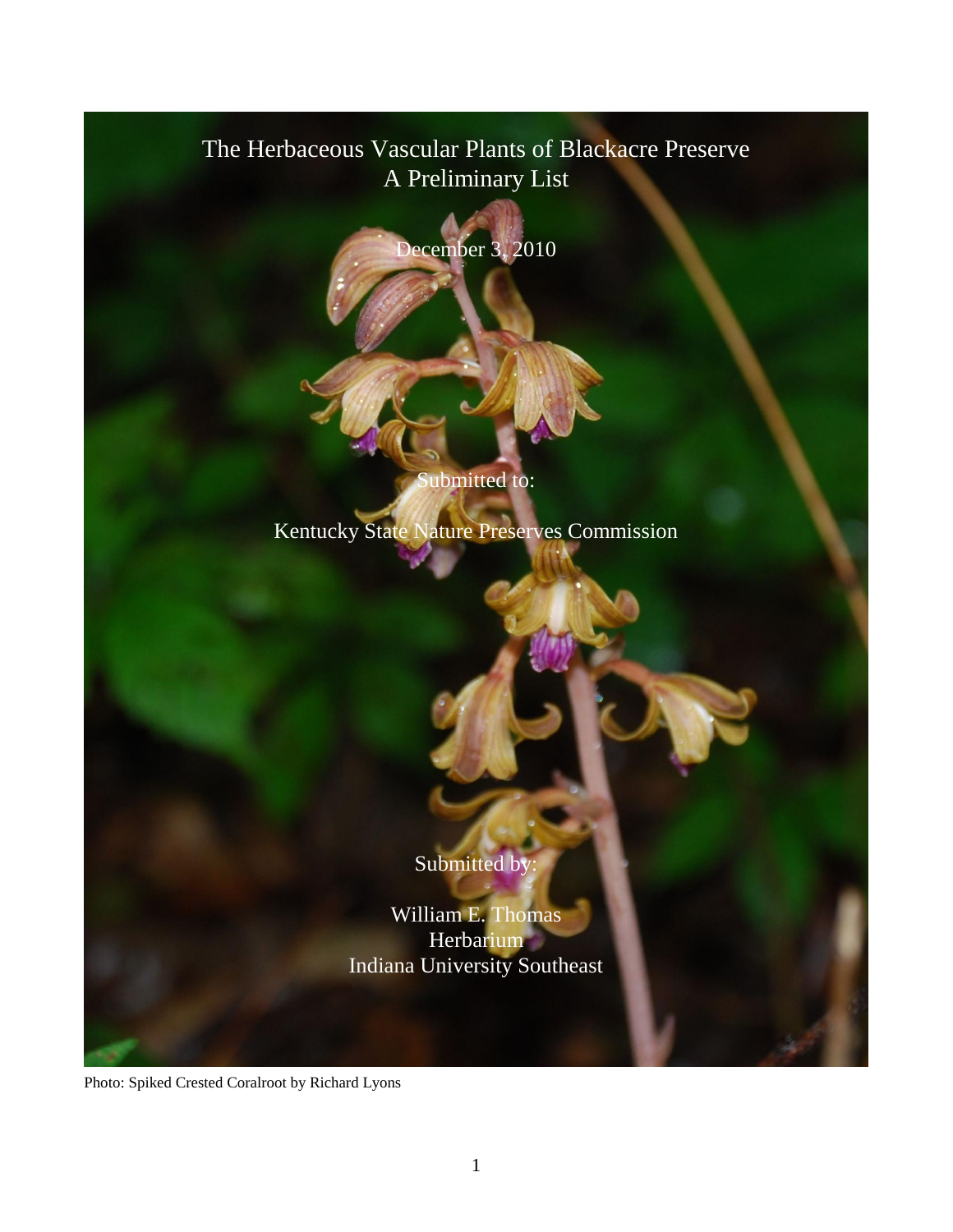# The Herbaceous Vascular Plants of Blackacre Preserve A Preliminary List

December 3, 2010

ubmitted to:

Kentucky State Nature Preserves Commission

Submitted by

William E. Thomas **Herbarium** Indiana University Southeast

Photo: Spiked Crested Coralroot by Richard Lyons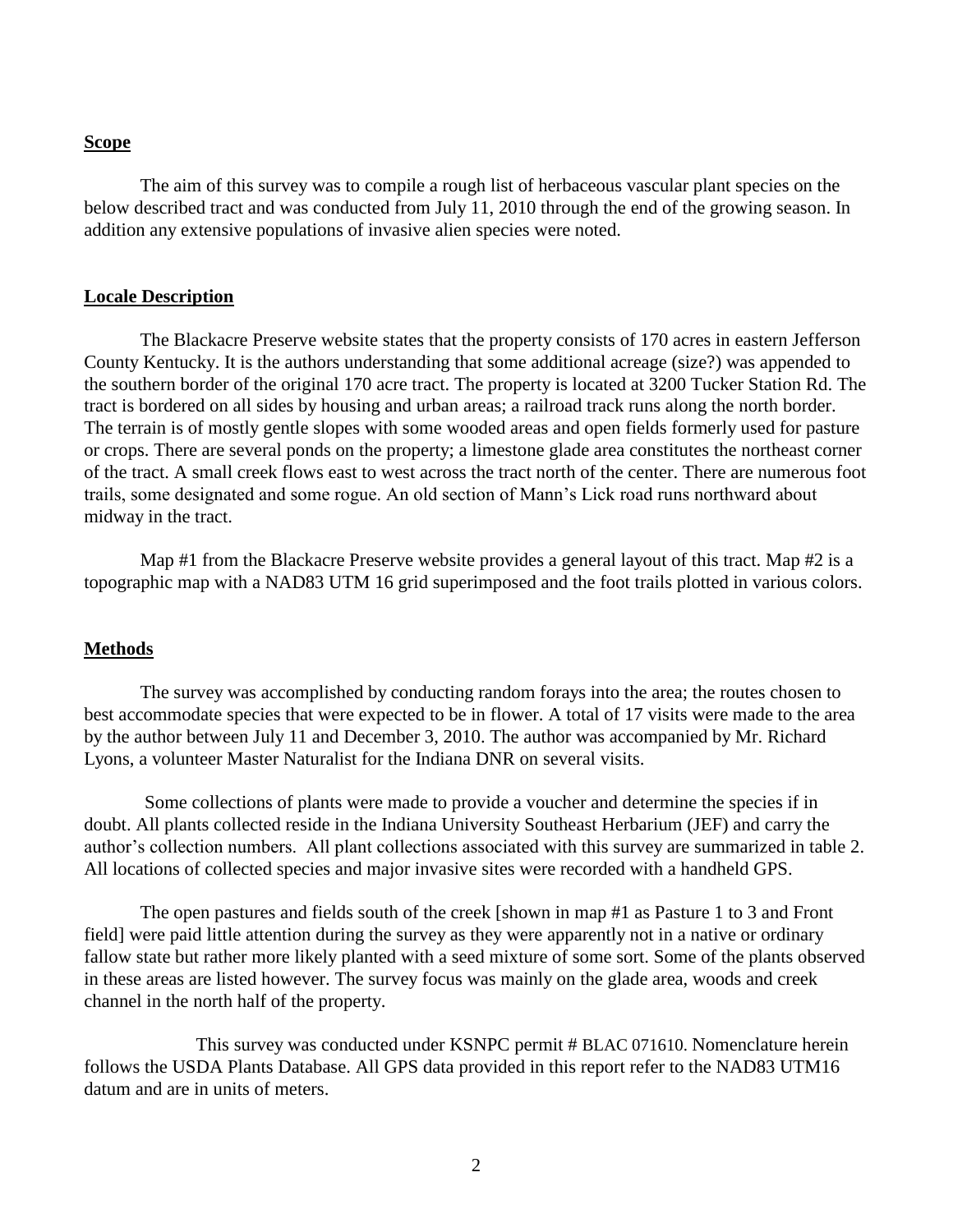#### **Scope**

The aim of this survey was to compile a rough list of herbaceous vascular plant species on the below described tract and was conducted from July 11, 2010 through the end of the growing season. In addition any extensive populations of invasive alien species were noted.

#### **Locale Description**

The Blackacre Preserve website states that the property consists of 170 acres in eastern Jefferson County Kentucky. It is the authors understanding that some additional acreage (size?) was appended to the southern border of the original 170 acre tract. The property is located at 3200 Tucker Station Rd. The tract is bordered on all sides by housing and urban areas; a railroad track runs along the north border. The terrain is of mostly gentle slopes with some wooded areas and open fields formerly used for pasture or crops. There are several ponds on the property; a limestone glade area constitutes the northeast corner of the tract. A small creek flows east to west across the tract north of the center. There are numerous foot trails, some designated and some rogue. An old section of Mann's Lick road runs northward about midway in the tract.

Map #1 from the Blackacre Preserve website provides a general layout of this tract. Map  $#2$  is a topographic map with a NAD83 UTM 16 grid superimposed and the foot trails plotted in various colors.

#### **Methods**

The survey was accomplished by conducting random forays into the area; the routes chosen to best accommodate species that were expected to be in flower. A total of 17 visits were made to the area by the author between July 11 and December 3, 2010. The author was accompanied by Mr. Richard Lyons, a volunteer Master Naturalist for the Indiana DNR on several visits.

Some collections of plants were made to provide a voucher and determine the species if in doubt. All plants collected reside in the Indiana University Southeast Herbarium (JEF) and carry the author's collection numbers. All plant collections associated with this survey are summarized in table 2. All locations of collected species and major invasive sites were recorded with a handheld GPS.

The open pastures and fields south of the creek [shown in map #1 as Pasture 1 to 3 and Front field] were paid little attention during the survey as they were apparently not in a native or ordinary fallow state but rather more likely planted with a seed mixture of some sort. Some of the plants observed in these areas are listed however. The survey focus was mainly on the glade area, woods and creek channel in the north half of the property.

This survey was conducted under KSNPC permit # BLAC 071610. Nomenclature herein follows the USDA Plants Database. All GPS data provided in this report refer to the NAD83 UTM16 datum and are in units of meters.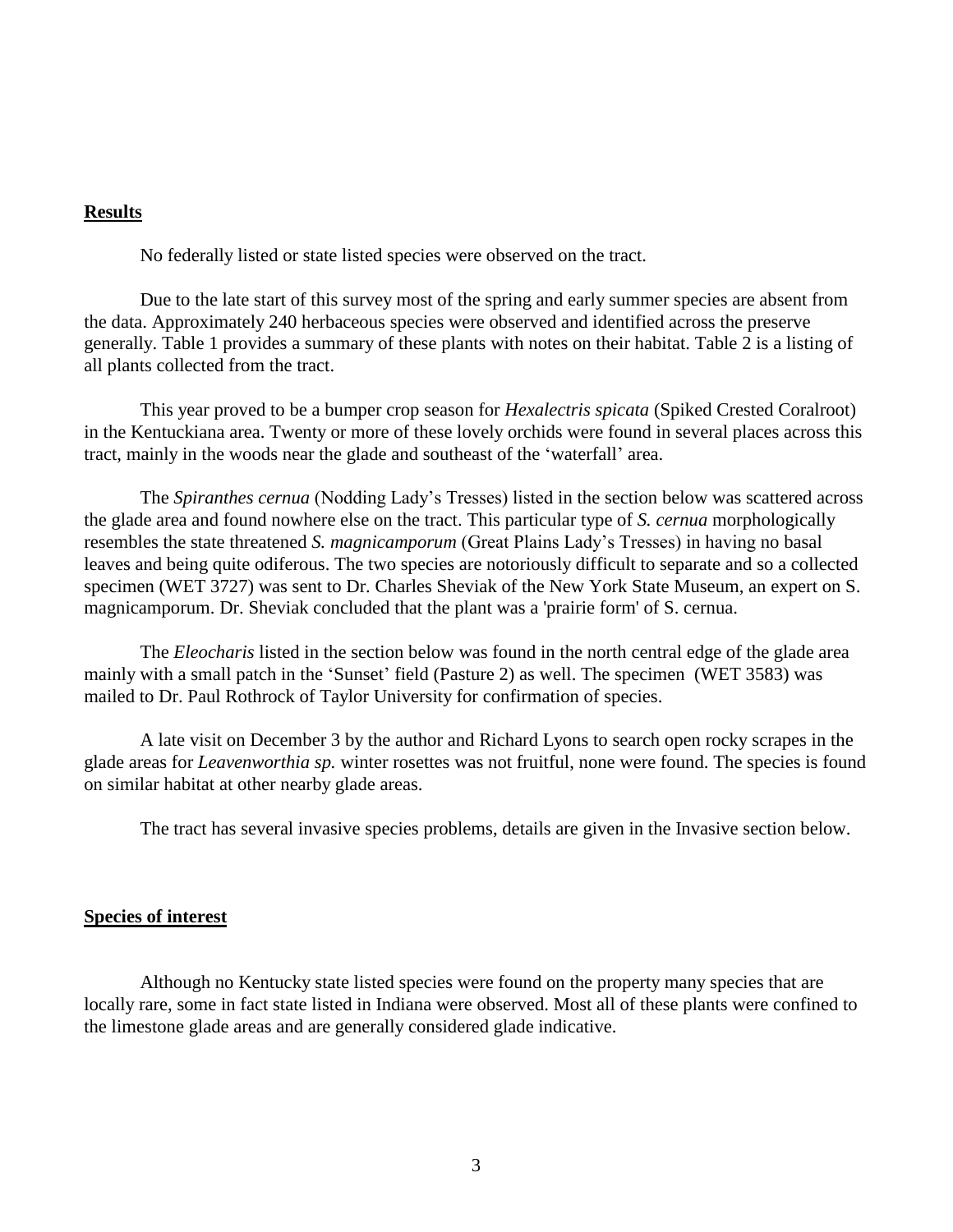### **Results**

No federally listed or state listed species were observed on the tract.

Due to the late start of this survey most of the spring and early summer species are absent from the data. Approximately 240 herbaceous species were observed and identified across the preserve generally. Table 1 provides a summary of these plants with notes on their habitat. Table 2 is a listing of all plants collected from the tract.

This year proved to be a bumper crop season for *Hexalectris spicata* (Spiked Crested Coralroot) in the Kentuckiana area. Twenty or more of these lovely orchids were found in several places across this tract, mainly in the woods near the glade and southeast of the 'waterfall' area.

The *Spiranthes cernua* (Nodding Lady's Tresses) listed in the section below was scattered across the glade area and found nowhere else on the tract. This particular type of *S. cernua* morphologically resembles the state threatened *S. magnicamporum* (Great Plains Lady's Tresses) in having no basal leaves and being quite odiferous. The two species are notoriously difficult to separate and so a collected specimen (WET 3727) was sent to Dr. Charles Sheviak of the New York State Museum, an expert on S. magnicamporum. Dr. Sheviak concluded that the plant was a 'prairie form' of S. cernua.

The *Eleocharis* listed in the section below was found in the north central edge of the glade area mainly with a small patch in the 'Sunset' field (Pasture 2) as well. The specimen (WET 3583) was mailed to Dr. Paul Rothrock of Taylor University for confirmation of species.

A late visit on December 3 by the author and Richard Lyons to search open rocky scrapes in the glade areas for *Leavenworthia sp.* winter rosettes was not fruitful, none were found. The species is found on similar habitat at other nearby glade areas.

The tract has several invasive species problems, details are given in the Invasive section below.

#### **Species of interest**

Although no Kentucky state listed species were found on the property many species that are locally rare, some in fact state listed in Indiana were observed. Most all of these plants were confined to the limestone glade areas and are generally considered glade indicative.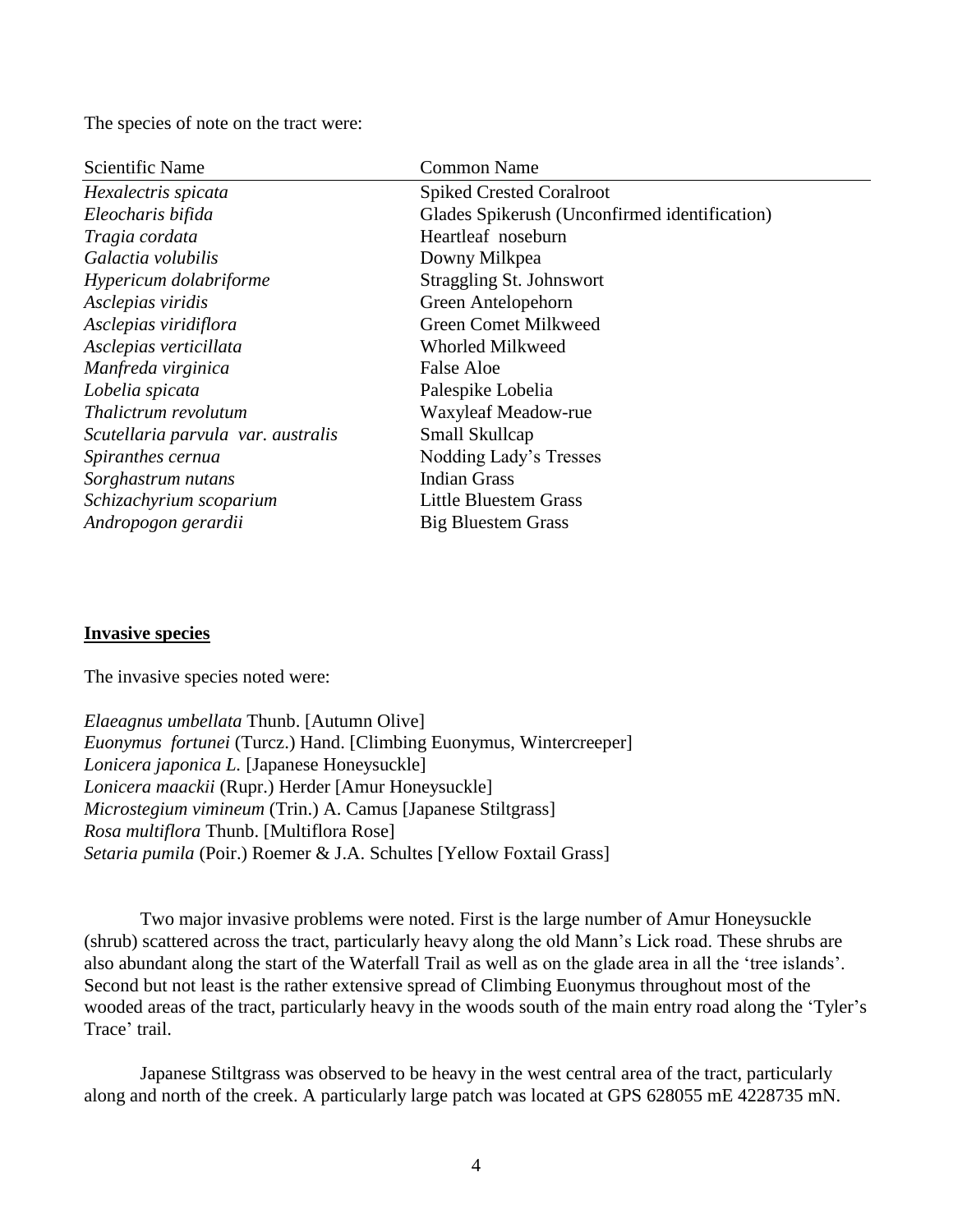The species of note on the tract were:

| Scientific Name                    | <b>Common Name</b>                            |
|------------------------------------|-----------------------------------------------|
| Hexalectris spicata                | <b>Spiked Crested Coralroot</b>               |
| Eleocharis bifida                  | Glades Spikerush (Unconfirmed identification) |
| Tragia cordata                     | Heartleaf noseburn                            |
| Galactia volubilis                 | Downy Milkpea                                 |
| Hypericum dolabriforme             | <b>Straggling St. Johnswort</b>               |
| Asclepias viridis                  | Green Antelopehorn                            |
| Asclepias viridiflora              | <b>Green Comet Milkweed</b>                   |
| Asclepias verticillata             | Whorled Milkweed                              |
| Manfreda virginica                 | <b>False Aloe</b>                             |
| Lobelia spicata                    | Palespike Lobelia                             |
| Thalictrum revolutum               | Waxyleaf Meadow-rue                           |
| Scutellaria parvula var. australis | Small Skullcap                                |
| Spiranthes cernua                  | Nodding Lady's Tresses                        |
| Sorghastrum nutans                 | <b>Indian Grass</b>                           |
| Schizachyrium scoparium            | <b>Little Bluestem Grass</b>                  |
| Andropogon gerardii                | <b>Big Bluestem Grass</b>                     |

#### **Invasive species**

The invasive species noted were:

*Elaeagnus umbellata* Thunb. [Autumn Olive] *Euonymus fortunei* (Turcz.) Hand. [Climbing Euonymus, Wintercreeper] *Lonicera japonica L.* [Japanese Honeysuckle] *Lonicera maackii* (Rupr.) Herder [Amur Honeysuckle] *Microstegium vimineum* (Trin.) A. Camus [Japanese Stiltgrass] *Rosa multiflora* Thunb. [Multiflora Rose] *Setaria pumila* (Poir.) Roemer & J.A. Schultes [Yellow Foxtail Grass]

Two major invasive problems were noted. First is the large number of Amur Honeysuckle (shrub) scattered across the tract, particularly heavy along the old Mann's Lick road. These shrubs are also abundant along the start of the Waterfall Trail as well as on the glade area in all the 'tree islands'. Second but not least is the rather extensive spread of Climbing Euonymus throughout most of the wooded areas of the tract, particularly heavy in the woods south of the main entry road along the 'Tyler's Trace' trail.

Japanese Stiltgrass was observed to be heavy in the west central area of the tract, particularly along and north of the creek. A particularly large patch was located at GPS 628055 mE 4228735 mN.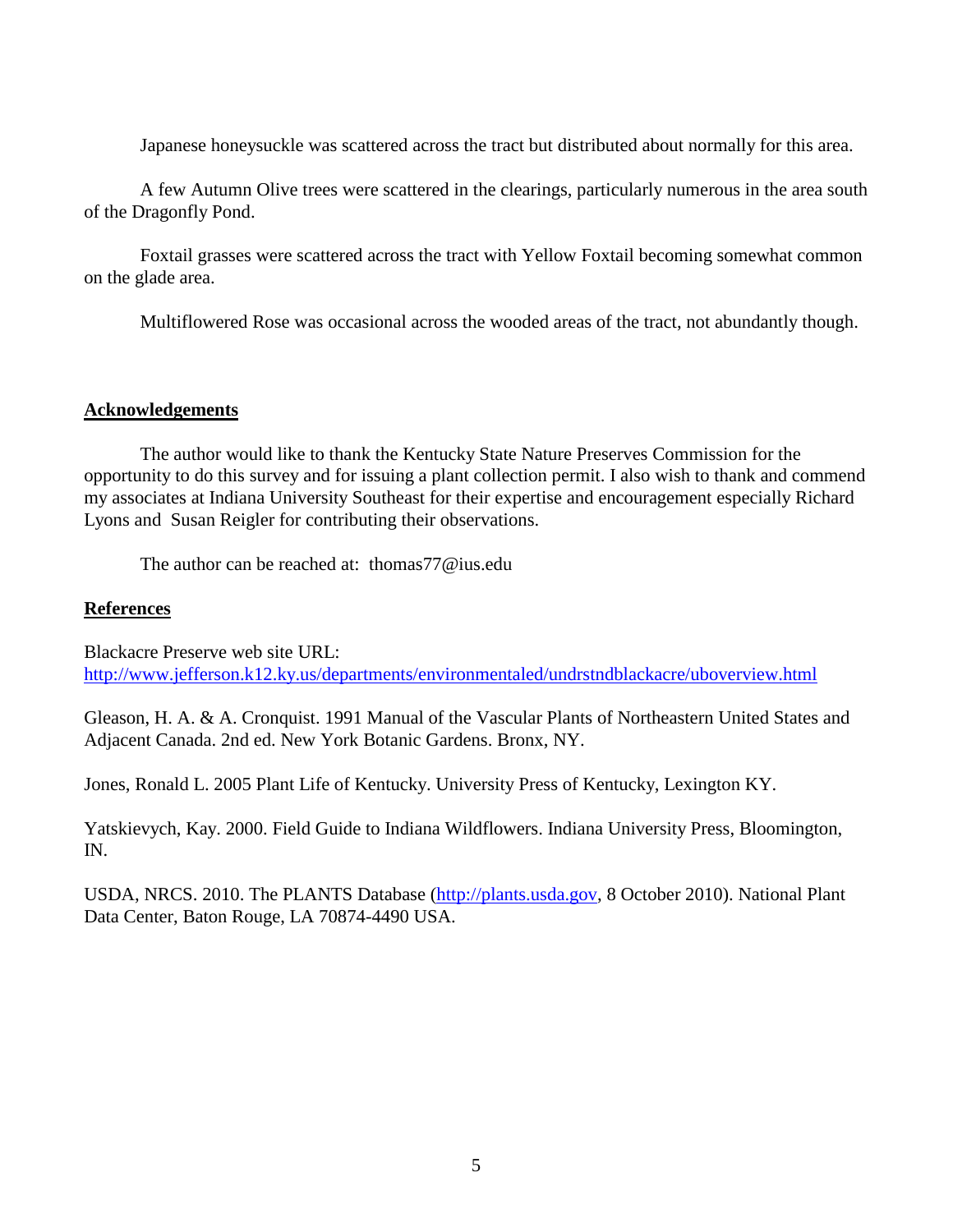Japanese honeysuckle was scattered across the tract but distributed about normally for this area.

A few Autumn Olive trees were scattered in the clearings, particularly numerous in the area south of the Dragonfly Pond.

Foxtail grasses were scattered across the tract with Yellow Foxtail becoming somewhat common on the glade area.

Multiflowered Rose was occasional across the wooded areas of the tract, not abundantly though.

#### **Acknowledgements**

The author would like to thank the Kentucky State Nature Preserves Commission for the opportunity to do this survey and for issuing a plant collection permit. I also wish to thank and commend my associates at Indiana University Southeast for their expertise and encouragement especially Richard Lyons and Susan Reigler for contributing their observations.

The author can be reached at: thomas77@ius.edu

## **References**

Blackacre Preserve web site URL: <http://www.jefferson.k12.ky.us/departments/environmentaled/undrstndblackacre/uboverview.html>

Gleason, H. A. & A. Cronquist. 1991 Manual of the Vascular Plants of Northeastern United States and Adjacent Canada. 2nd ed. New York Botanic Gardens. Bronx, NY.

Jones, Ronald L. 2005 Plant Life of Kentucky. University Press of Kentucky, Lexington KY.

Yatskievych, Kay. 2000. Field Guide to Indiana Wildflowers. Indiana University Press, Bloomington, IN.

USDA, NRCS. 2010. The PLANTS Database [\(http://plants.usda.gov,](http://plants.usda.gov/) 8 October 2010). National Plant Data Center, Baton Rouge, LA 70874-4490 USA.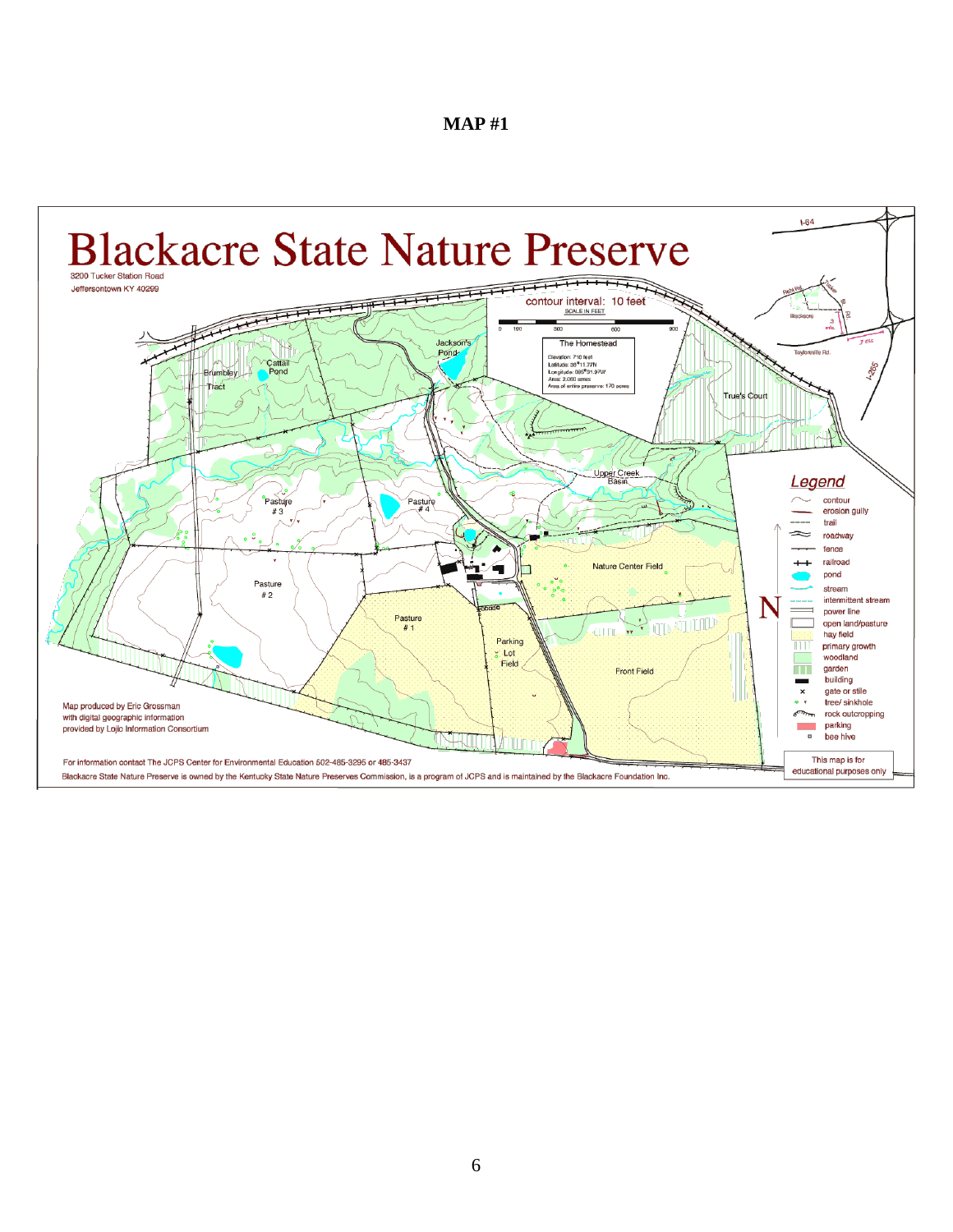|--|--|

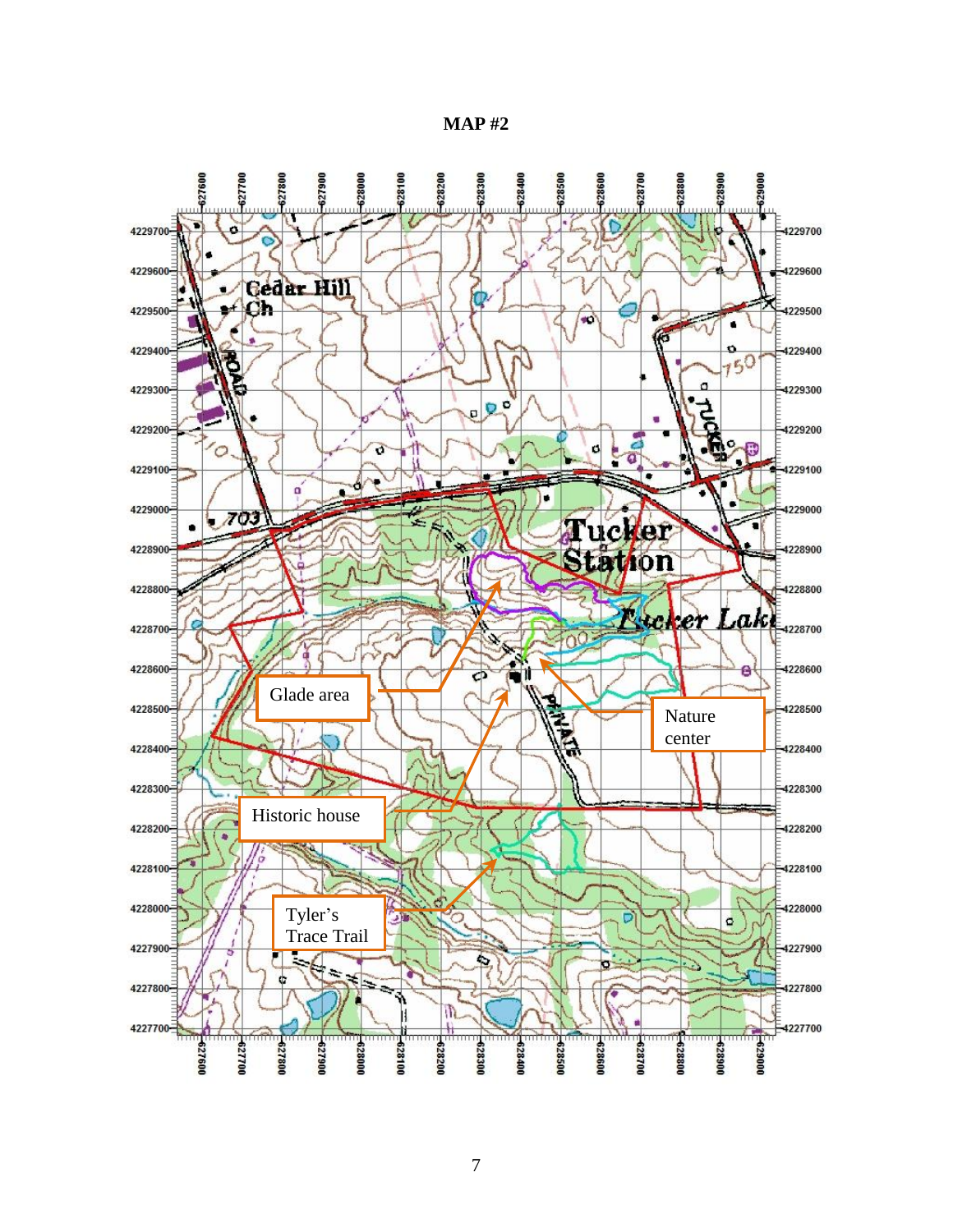**MAP #2**

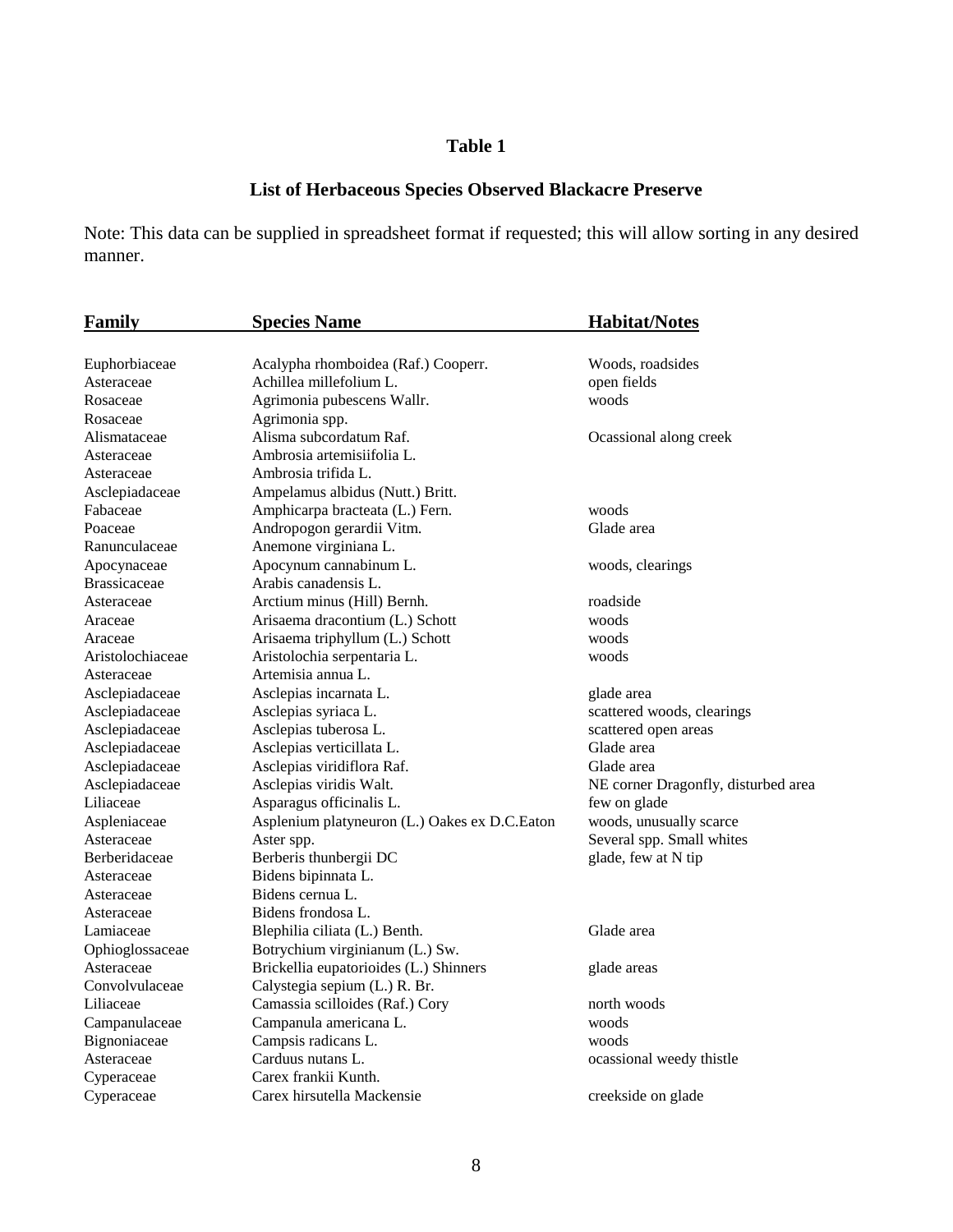# **Table 1**

# **List of Herbaceous Species Observed Blackacre Preserve**

Note: This data can be supplied in spreadsheet format if requested; this will allow sorting in any desired manner.

| <b>Family</b>       | <b>Species Name</b>                           | <b>Habitat/Notes</b>                |  |
|---------------------|-----------------------------------------------|-------------------------------------|--|
|                     |                                               |                                     |  |
| Euphorbiaceae       | Acalypha rhomboidea (Raf.) Cooperr.           | Woods, roadsides                    |  |
| Asteraceae          | Achillea millefolium L.                       | open fields                         |  |
| Rosaceae            | Agrimonia pubescens Wallr.                    | woods                               |  |
| Rosaceae            | Agrimonia spp.                                |                                     |  |
| Alismataceae        | Alisma subcordatum Raf.                       | Ocassional along creek              |  |
| Asteraceae          | Ambrosia artemisiifolia L.                    |                                     |  |
| Asteraceae          | Ambrosia trifida L.                           |                                     |  |
| Asclepiadaceae      | Ampelamus albidus (Nutt.) Britt.              |                                     |  |
| Fabaceae            | Amphicarpa bracteata (L.) Fern.               | woods                               |  |
| Poaceae             | Andropogon gerardii Vitm.                     | Glade area                          |  |
| Ranunculaceae       | Anemone virginiana L.                         |                                     |  |
| Apocynaceae         | Apocynum cannabinum L.                        | woods, clearings                    |  |
| <b>Brassicaceae</b> | Arabis canadensis L.                          |                                     |  |
| Asteraceae          | Arctium minus (Hill) Bernh.                   | roadside                            |  |
| Araceae             | Arisaema dracontium (L.) Schott               | woods                               |  |
| Araceae             | Arisaema triphyllum (L.) Schott               | woods                               |  |
| Aristolochiaceae    | Aristolochia serpentaria L.                   | woods                               |  |
| Asteraceae          | Artemisia annua L.                            |                                     |  |
| Asclepiadaceae      | Asclepias incarnata L.                        | glade area                          |  |
| Asclepiadaceae      | Asclepias syriaca L.                          | scattered woods, clearings          |  |
| Asclepiadaceae      | Asclepias tuberosa L.                         | scattered open areas                |  |
| Asclepiadaceae      | Asclepias verticillata L.                     | Glade area                          |  |
| Asclepiadaceae      | Asclepias viridiflora Raf.                    | Glade area                          |  |
| Asclepiadaceae      | Asclepias viridis Walt.                       | NE corner Dragonfly, disturbed area |  |
| Liliaceae           | Asparagus officinalis L.                      | few on glade                        |  |
| Aspleniaceae        | Asplenium platyneuron (L.) Oakes ex D.C.Eaton | woods, unusually scarce             |  |
| Asteraceae          | Aster spp.                                    | Several spp. Small whites           |  |
| Berberidaceae       | Berberis thunbergii DC                        | glade, few at N tip                 |  |
| Asteraceae          | Bidens bipinnata L.                           |                                     |  |
| Asteraceae          | Bidens cernua L.                              |                                     |  |
| Asteraceae          | Bidens frondosa L.                            |                                     |  |
| Lamiaceae           | Blephilia ciliata (L.) Benth.                 | Glade area                          |  |
| Ophioglossaceae     | Botrychium virginianum (L.) Sw.               |                                     |  |
| Asteraceae          | Brickellia eupatorioides (L.) Shinners        | glade areas                         |  |
| Convolvulaceae      | Calystegia sepium (L.) R. Br.                 |                                     |  |
| Liliaceae           | Camassia scilloides (Raf.) Cory               | north woods                         |  |
| Campanulaceae       | Campanula americana L.                        | woods                               |  |
| Bignoniaceae        | Campsis radicans L.                           | woods                               |  |
| Asteraceae          | Carduus nutans L.                             | ocassional weedy thistle            |  |
| Cyperaceae          | Carex frankii Kunth.                          |                                     |  |
| Cyperaceae          | Carex hirsutella Mackensie                    | creekside on glade                  |  |
|                     |                                               |                                     |  |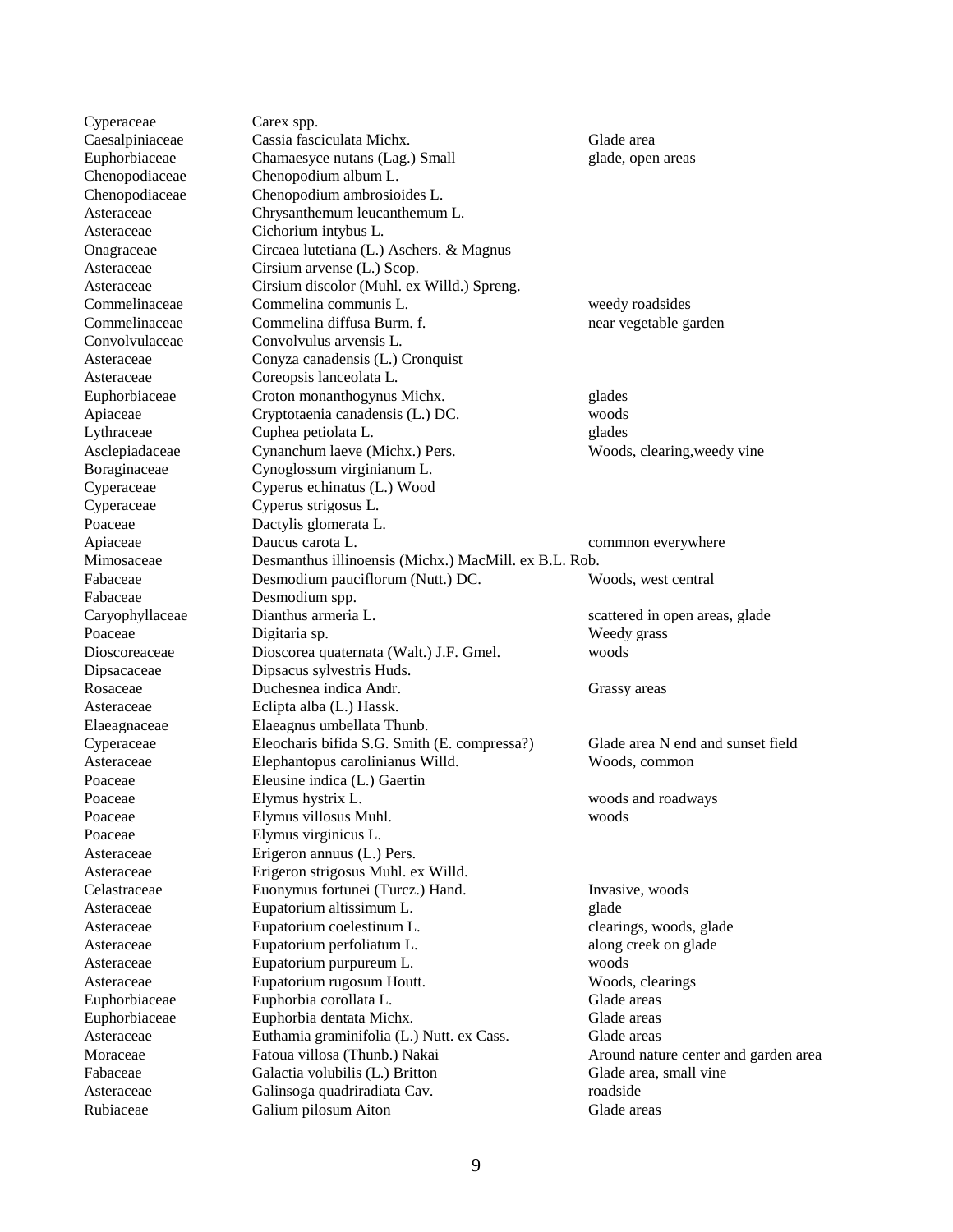Cyperaceae Carex spp. Caesalpiniaceae Cassia fasciculata Michx. Glade area Euphorbiaceae Chamaesyce nutans (Lag.) Small glade, open areas Chenopodiaceae Chenopodium album L. Chenopodiaceae Chenopodium ambrosioides L. Asteraceae Chrysanthemum leucanthemum L. Asteraceae Cichorium intybus L. Onagraceae Circaea lutetiana (L.) Aschers. & Magnus Asteraceae Cirsium arvense (L.) Scop. Asteraceae Cirsium discolor (Muhl. ex Willd.) Spreng. Commelinaceae Commelina communis L. weedy roadsides Commelinaceae Commelina diffusa Burm. f. near vegetable garden Convolvulaceae Convolvulus arvensis L. Asteraceae Conyza canadensis (L.) Cronquist Asteraceae Coreopsis lanceolata L. Euphorbiaceae Croton monanthogynus Michx. glades Apiaceae Cryptotaenia canadensis (L.) DC. woods Lythraceae Cuphea petiolata L. glades Asclepiadaceae Cynanchum laeve (Michx.) Pers. Woods, clearing,weedy vine Boraginaceae Cynoglossum virginianum L. Cyperaceae Cyperus echinatus (L.) Wood Cyperaceae Cyperus strigosus L. Poaceae Dactylis glomerata L. Apiaceae **Daucus carota L.** Common everywhere Mimosaceae Desmanthus illinoensis (Michx.) MacMill. ex B.L. Rob. Fabaceae Desmodium pauciflorum (Nutt.) DC. Woods, west central Fabaceae Desmodium spp. Caryophyllaceae Dianthus armeria L. scattered in open areas, glade Poaceae Digitaria sp. Weedy grass Dioscoreaceae Dioscorea quaternata (Walt.) J.F. Gmel. woods Dipsacaceae Dipsacus sylvestris Huds. Rosaceae Duchesnea indica Andr. Grassy areas Asteraceae Eclipta alba (L.) Hassk. Elaeagnaceae Elaeagnus umbellata Thunb. Cyperaceae Eleocharis bifida S.G. Smith (E. compressa?) Glade area N end and sunset field Asteraceae Elephantopus carolinianus Willd. Woods, common Poaceae Eleusine indica (L.) Gaertin Poaceae Elymus hystrix L. woods and roadways Poaceae Elymus villosus Muhl. woods Poaceae Elymus virginicus L. Asteraceae Erigeron annuus (L.) Pers. Asteraceae Erigeron strigosus Muhl. ex Willd. Celastraceae Euonymus fortunei (Turcz.) Hand. Invasive, woods Asteraceae Eupatorium altissimum L. glade Asteraceae Eupatorium coelestinum L. Clearings, woods, glade Asteraceae Eupatorium perfoliatum L. along creek on glade Asteraceae Eupatorium purpureum L. woods Asteraceae Eupatorium rugosum Houtt. Woods, clearings Euphorbiaceae Euphorbia corollata L. Glade areas Euphorbiaceae Euphorbia dentata Michx. Glade areas Asteraceae Euthamia graminifolia (L.) Nutt. ex Cass. Glade areas Moraceae Fatoua villosa (Thunb.) Nakai Around nature center and garden area Fabaceae Galactia volubilis (L.) Britton Glade area, small vine Asteraceae Galinsoga quadriradiata Cav. roadside capacas contract of the Galinsoga quadriradiata Cav. Rubiaceae Galium pilosum Aiton Galium Aiton Glade areas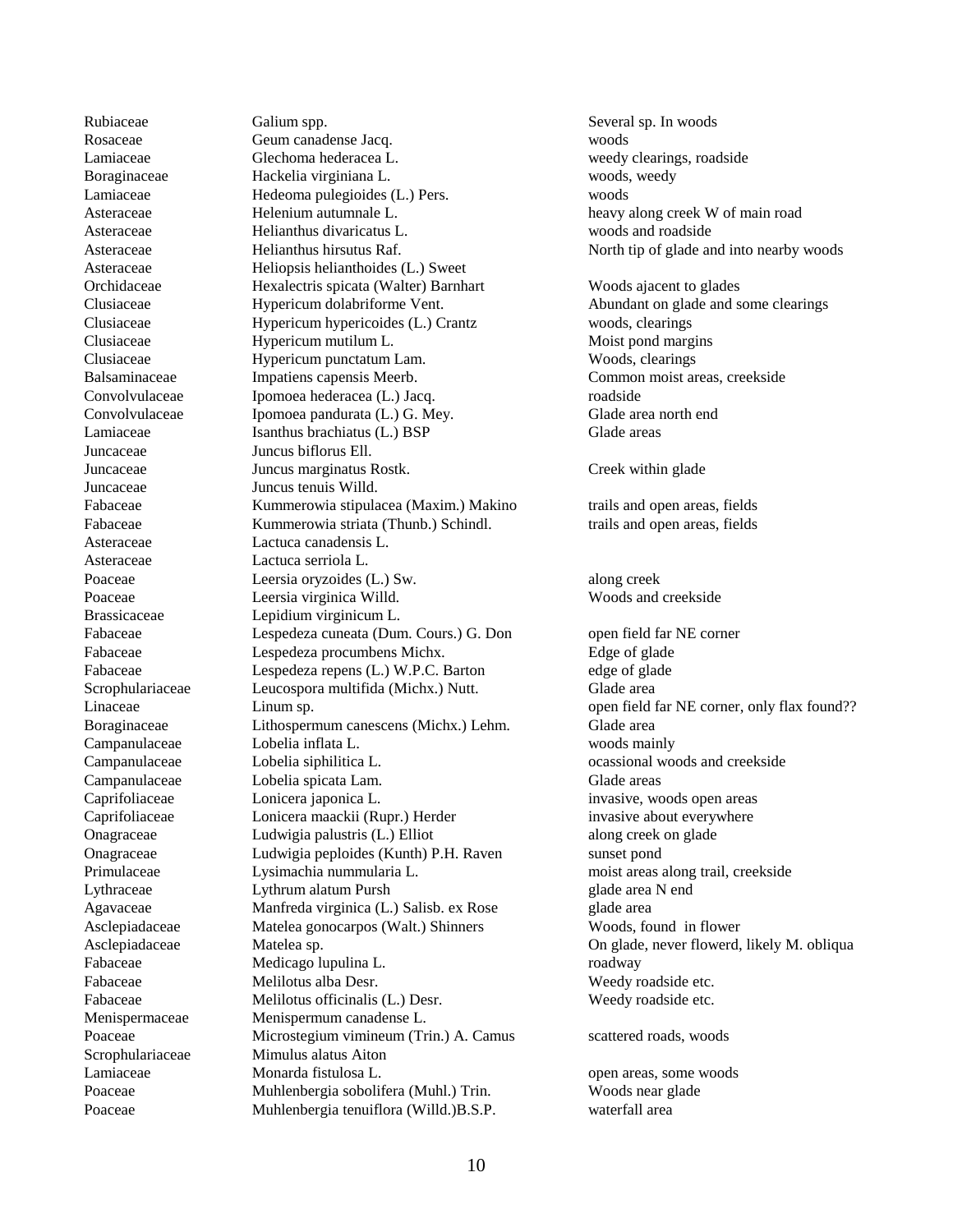Juncaceae Juncus biflorus Ell. Asteraceae Lactuca serriola L.

Rubiaceae Galium spp. Several sp. In woods Rosaceae Geum canadense Jacq. woods Lamiaceae Glechoma hederacea L. weedy clearings, roadside Boraginaceae Hackelia virginiana L. woods, weedy Lamiaceae Hedeoma pulegioides (L.) Pers. woods Asteraceae Helenium autumnale L. heavy along creek W of main road Asteraceae Helianthus divaricatus L. woods and roadside Asteraceae Heliopsis helianthoides (L.) Sweet Orchidaceae Hexalectris spicata (Walter) Barnhart Woods ajacent to glades Clusiaceae Hypericum dolabriforme Vent. Abundant on glade and some clearings Clusiaceae Hypericum hypericoides (L.) Crantz woods, clearings Clusiaceae Hypericum mutilum L. Moist pond margins Clusiaceae Hypericum punctatum Lam. Woods, clearings Balsaminaceae Impatiens capensis Meerb. Common moist areas, creekside Convolvulaceae Ipomoea hederacea (L.) Jacq. roadside Convolvulaceae Ipomoea pandurata (L.) G. Mey. Glade area north end Lamiaceae Isanthus brachiatus (L.) BSP Glade areas Juncaceae Juncus marginatus Rostk. Creek within glade Juncaceae Juncus tenuis Willd. Fabaceae Kummerowia stipulacea (Maxim.) Makino trails and open areas, fields Fabaceae Kummerowia striata (Thunb.) Schindl. trails and open areas, fields Asteraceae Lactuca canadensis L. Poaceae Leersia oryzoides (L.) Sw. along creek Poaceae Leersia virginica Willd. Woods and creekside Brassicaceae Lepidium virginicum L. Fabaceae Lespedeza cuneata (Dum. Cours.) G. Don open field far NE corner Fabaceae Lespedeza procumbens Michx. Edge of glade Fabaceae Lespedeza repens (L.) W.P.C. Barton edge of glade Scrophulariaceae Leucospora multifida (Michx.) Nutt. Glade area Boraginaceae Lithospermum canescens (Michx.) Lehm. Glade area Campanulaceae Lobelia inflata L. woods mainly Campanulaceae Lobelia siphilitica L. can be cassional woods and creekside Campanulaceae Lobelia spicata Lam. Glade areas Caprifoliaceae Lonicera japonica L. invasive, woods open areas Caprifoliaceae Lonicera maackii (Rupr.) Herder invasive about everywhere Onagraceae Ludwigia palustris (L.) Elliot along creek on glade Onagraceae Ludwigia peploides (Kunth) P.H. Raven sunset pond Primulaceae Lysimachia nummularia L. moist areas along trail, creekside Lythraceae Lythrum alatum Pursh glade area N end Agavaceae Manfreda virginica (L.) Salisb. ex Rose glade area Asclepiadaceae Matelea gonocarpos (Walt.) Shinners Woods, found in flower Fabaceae Medicago lupulina L. roadway Fabaceae Melilotus alba Desr. Weedy roadside etc. Fabaceae Melilotus officinalis (L.) Desr. Weedy roadside etc. Menispermaceae Menispermum canadense L. Poaceae Microstegium vimineum (Trin.) A. Camus scattered roads, woods Scrophulariaceae Mimulus alatus Aiton Lamiaceae Monarda fistulosa L. open areas, some woods Poaceae Muhlenbergia sobolifera (Muhl.) Trin. Woods near glade Poaceae Muhlenbergia tenuiflora (Willd.)B.S.P. waterfall area

Asteraceae Helianthus hirsutus Raf. North tip of glade and into nearby woods Linaceae Linum sp. Comments are commented far NE corner, only flax found?? Asclepiadaceae Matelea sp. On glade, never flowerd, likely M. obliqua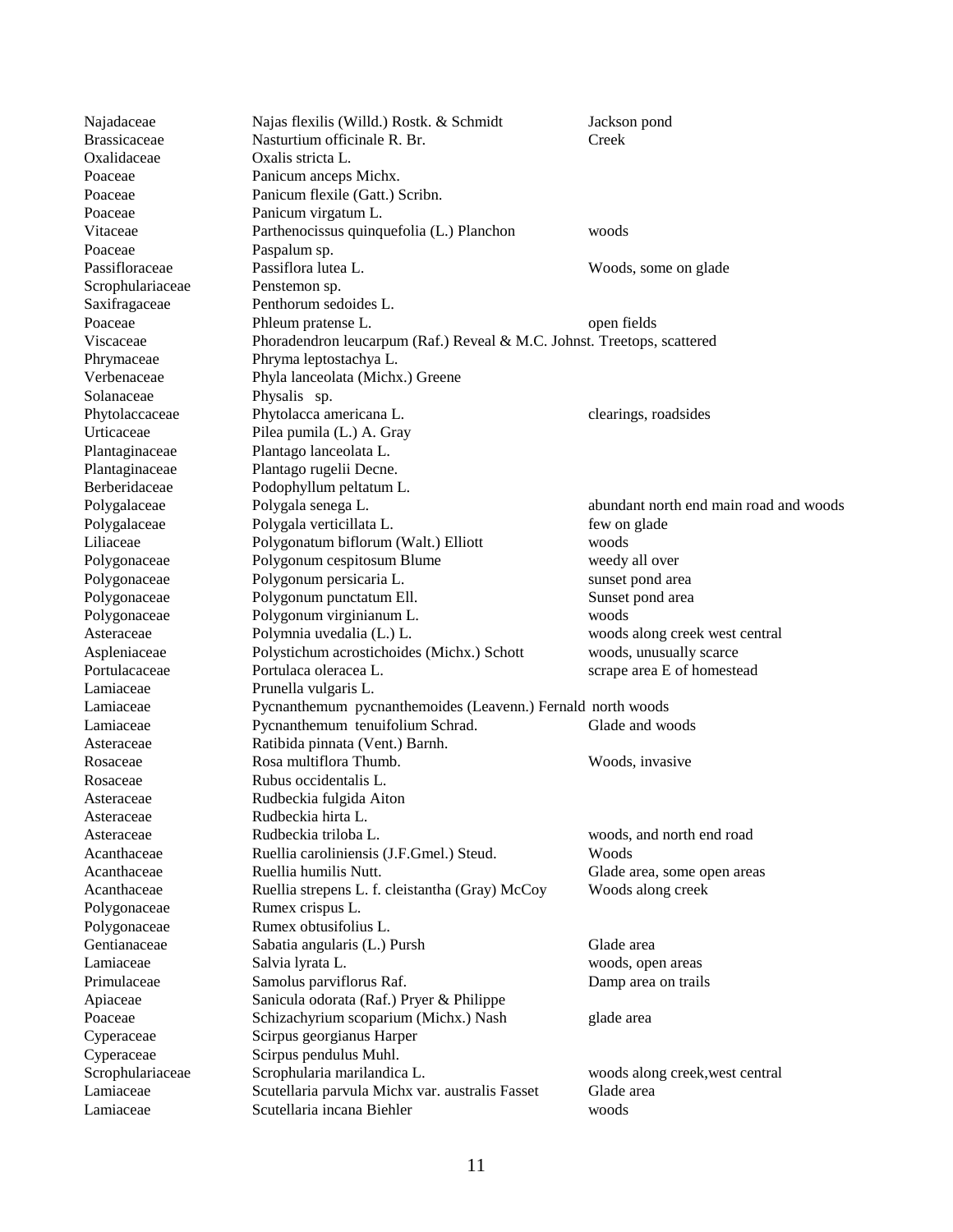| Najadaceae          | Najas flexilis (Willd.) Rostk. & Schmidt                                | Jackson pond                           |
|---------------------|-------------------------------------------------------------------------|----------------------------------------|
| <b>Brassicaceae</b> | Nasturtium officinale R. Br.                                            | Creek                                  |
| Oxalidaceae         | Oxalis stricta L.                                                       |                                        |
| Poaceae             | Panicum anceps Michx.                                                   |                                        |
| Poaceae             | Panicum flexile (Gatt.) Scribn.                                         |                                        |
| Poaceae             | Panicum virgatum L.                                                     |                                        |
| Vitaceae            | Parthenocissus quinquefolia (L.) Planchon                               | woods                                  |
| Poaceae             | Paspalum sp.                                                            |                                        |
| Passifloraceae      | Passiflora lutea L.                                                     | Woods, some on glade                   |
| Scrophulariaceae    | Penstemon sp.                                                           |                                        |
| Saxifragaceae       | Penthorum sedoides L.                                                   |                                        |
| Poaceae             | Phleum pratense L.                                                      | open fields                            |
| Viscaceae           | Phoradendron leucarpum (Raf.) Reveal & M.C. Johnst. Treetops, scattered |                                        |
| Phrymaceae          | Phryma leptostachya L.                                                  |                                        |
| Verbenaceae         | Phyla lanceolata (Michx.) Greene                                        |                                        |
| Solanaceae          | Physalis sp.                                                            |                                        |
| Phytolaccaceae      | Phytolacca americana L.                                                 | clearings, roadsides                   |
| Urticaceae          | Pilea pumila (L.) A. Gray                                               |                                        |
| Plantaginaceae      | Plantago lanceolata L.                                                  |                                        |
| Plantaginaceae      | Plantago rugelii Decne.                                                 |                                        |
| Berberidaceae       | Podophyllum peltatum L.                                                 |                                        |
| Polygalaceae        | Polygala senega L.                                                      | abundant north end main road and woods |
| Polygalaceae        | Polygala verticillata L.                                                | few on glade                           |
| Liliaceae           | Polygonatum biflorum (Walt.) Elliott                                    | woods                                  |
| Polygonaceae        | Polygonum cespitosum Blume                                              | weedy all over                         |
| Polygonaceae        | Polygonum persicaria L.                                                 | sunset pond area                       |
| Polygonaceae        | Polygonum punctatum Ell.                                                | Sunset pond area                       |
| Polygonaceae        | Polygonum virginianum L.                                                | woods                                  |
| Asteraceae          | Polymnia uvedalia (L.) L.                                               | woods along creek west central         |
| Aspleniaceae        | Polystichum acrostichoides (Michx.) Schott                              | woods, unusually scarce                |
| Portulacaceae       | Portulaca oleracea L.                                                   | scrape area E of homestead             |
| Lamiaceae           | Prunella vulgaris L.                                                    |                                        |
| Lamiaceae           | Pycnanthemum pycnanthemoides (Leavenn.) Fernald north woods             |                                        |
| Lamiaceae           | Pycnanthemum tenuifolium Schrad.                                        | Glade and woods                        |
| Asteraceae          | Ratibida pinnata (Vent.) Barnh.                                         |                                        |
| Rosaceae            | Rosa multiflora Thumb.                                                  | Woods, invasive                        |
| Rosaceae            | Rubus occidentalis L.                                                   |                                        |
| Asteraceae          | Rudbeckia fulgida Aiton                                                 |                                        |
| Asteraceae          | Rudbeckia hirta L.                                                      |                                        |
| Asteraceae          | Rudbeckia triloba L.                                                    | woods, and north end road              |
| Acanthaceae         | Ruellia caroliniensis (J.F.Gmel.) Steud.                                | Woods                                  |
| Acanthaceae         | Ruellia humilis Nutt.                                                   | Glade area, some open areas            |
| Acanthaceae         | Ruellia strepens L. f. cleistantha (Gray) McCoy                         | Woods along creek                      |
| Polygonaceae        | Rumex crispus L.                                                        |                                        |
| Polygonaceae        | Rumex obtusifolius L.                                                   |                                        |
| Gentianaceae        | Sabatia angularis (L.) Pursh                                            | Glade area                             |
| Lamiaceae           | Salvia lyrata L.                                                        | woods, open areas                      |
| Primulaceae         | Samolus parviflorus Raf.                                                | Damp area on trails                    |
| Apiaceae            | Sanicula odorata (Raf.) Pryer & Philippe                                |                                        |
| Poaceae             | Schizachyrium scoparium (Michx.) Nash                                   | glade area                             |
| Cyperaceae          | Scirpus georgianus Harper                                               |                                        |
| Cyperaceae          | Scirpus pendulus Muhl.                                                  |                                        |
| Scrophulariaceae    | Scrophularia marilandica L.                                             | woods along creek, west central        |
| Lamiaceae           | Scutellaria parvula Michx var. australis Fasset                         | Glade area                             |
| Lamiaceae           | Scutellaria incana Biehler                                              | woods                                  |
|                     |                                                                         |                                        |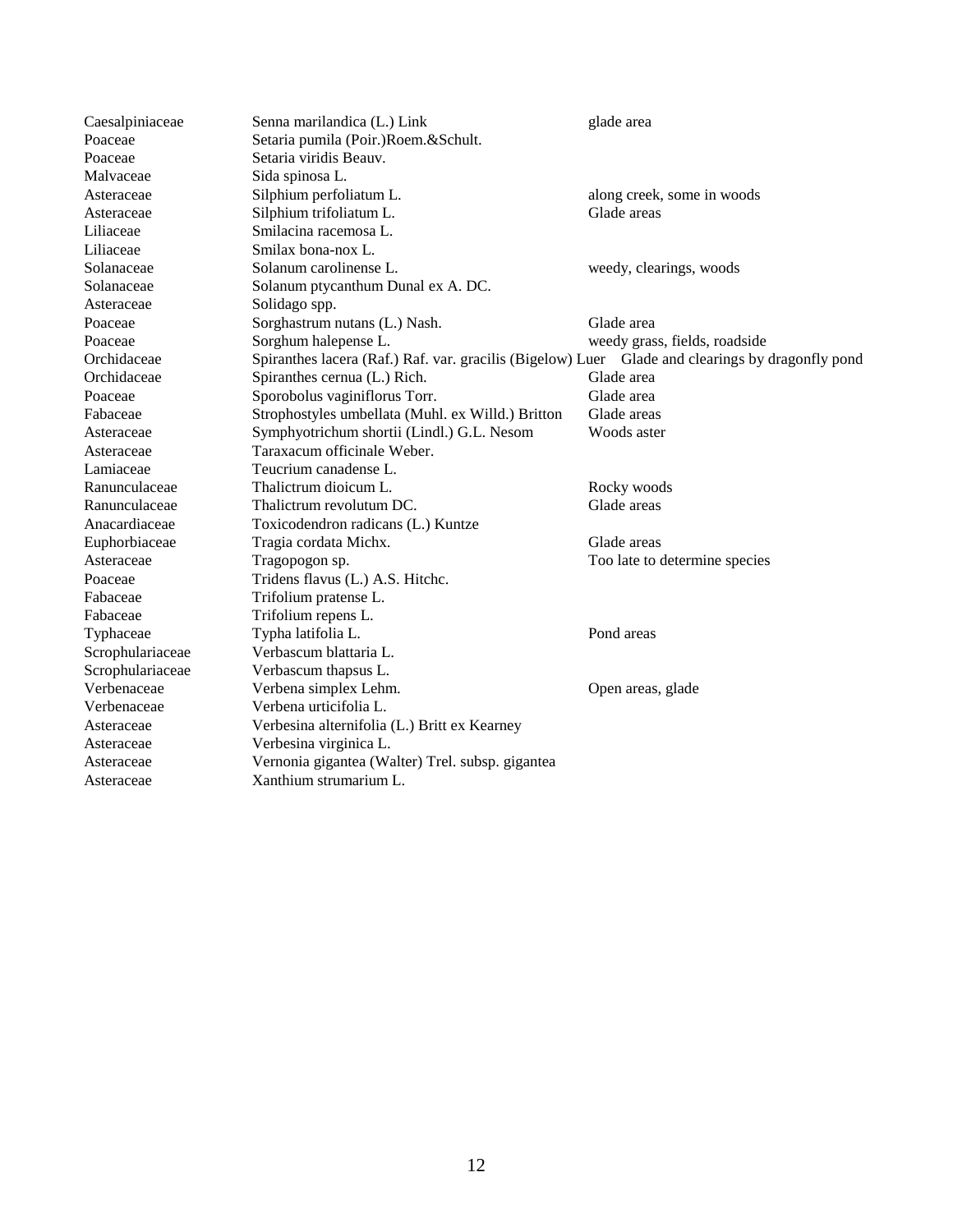| Caesalpiniaceae  | Senna marilandica (L.) Link                                                                      | glade area                    |
|------------------|--------------------------------------------------------------------------------------------------|-------------------------------|
| Poaceae          | Setaria pumila (Poir.)Roem.&Schult.                                                              |                               |
| Poaceae          | Setaria viridis Beauv.                                                                           |                               |
| Malvaceae        | Sida spinosa L.                                                                                  |                               |
| Asteraceae       | Silphium perfoliatum L.                                                                          | along creek, some in woods    |
| Asteraceae       | Silphium trifoliatum L.                                                                          | Glade areas                   |
| Liliaceae        | Smilacina racemosa L.                                                                            |                               |
| Liliaceae        | Smilax bona-nox L.                                                                               |                               |
| Solanaceae       | Solanum carolinense L.                                                                           | weedy, clearings, woods       |
| Solanaceae       | Solanum ptycanthum Dunal ex A. DC.                                                               |                               |
| Asteraceae       | Solidago spp.                                                                                    |                               |
| Poaceae          | Sorghastrum nutans (L.) Nash.                                                                    | Glade area                    |
| Poaceae          | Sorghum halepense L.                                                                             | weedy grass, fields, roadside |
| Orchidaceae      | Spiranthes lacera (Raf.) Raf. var. gracilis (Bigelow) Luer Glade and clearings by dragonfly pond |                               |
| Orchidaceae      | Spiranthes cernua (L.) Rich.                                                                     | Glade area                    |
| Poaceae          | Sporobolus vaginiflorus Torr.                                                                    | Glade area                    |
| Fabaceae         | Strophostyles umbellata (Muhl. ex Willd.) Britton                                                | Glade areas                   |
| Asteraceae       | Symphyotrichum shortii (Lindl.) G.L. Nesom                                                       | Woods aster                   |
| Asteraceae       | Taraxacum officinale Weber.                                                                      |                               |
| Lamiaceae        | Teucrium canadense L.                                                                            |                               |
| Ranunculaceae    | Thalictrum dioicum L.                                                                            | Rocky woods                   |
| Ranunculaceae    | Thalictrum revolutum DC.                                                                         | Glade areas                   |
| Anacardiaceae    | Toxicodendron radicans (L.) Kuntze                                                               |                               |
| Euphorbiaceae    | Tragia cordata Michx.                                                                            | Glade areas                   |
| Asteraceae       | Tragopogon sp.                                                                                   | Too late to determine species |
| Poaceae          | Tridens flavus (L.) A.S. Hitchc.                                                                 |                               |
| Fabaceae         | Trifolium pratense L.                                                                            |                               |
| Fabaceae         | Trifolium repens L.                                                                              |                               |
| Typhaceae        | Typha latifolia L.                                                                               | Pond areas                    |
| Scrophulariaceae | Verbascum blattaria L.                                                                           |                               |
| Scrophulariaceae | Verbascum thapsus L.                                                                             |                               |
| Verbenaceae      | Verbena simplex Lehm.                                                                            | Open areas, glade             |
| Verbenaceae      | Verbena urticifolia L.                                                                           |                               |
| Asteraceae       | Verbesina alternifolia (L.) Britt ex Kearney                                                     |                               |
| Asteraceae       | Verbesina virginica L.                                                                           |                               |
| Asteraceae       | Vernonia gigantea (Walter) Trel. subsp. gigantea                                                 |                               |
| Asteraceae       | Xanthium strumarium L.                                                                           |                               |
|                  |                                                                                                  |                               |